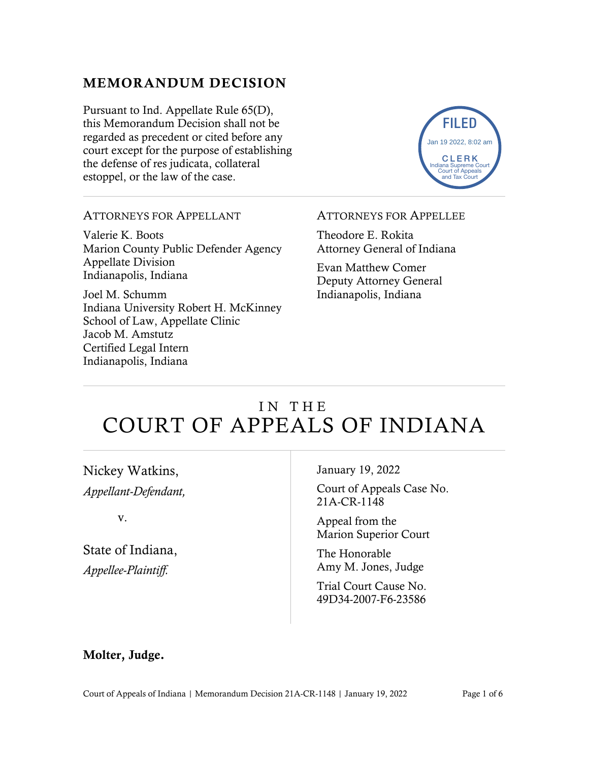# MEMORANDUM DECISION

Pursuant to Ind. Appellate Rule 65(D), this Memorandum Decision shall not be regarded as precedent or cited before any court except for the purpose of establishing the defense of res judicata, collateral estoppel, or the law of the case.



### ATTORNEYS FOR APPELLANT

Valerie K. Boots Marion County Public Defender Agency Appellate Division Indianapolis, Indiana

Joel M. Schumm Indiana University Robert H. McKinney School of Law, Appellate Clinic Jacob M. Amstutz Certified Legal Intern Indianapolis, Indiana

#### ATTORNEYS FOR APPELLEE

Theodore E. Rokita Attorney General of Indiana

Evan Matthew Comer Deputy Attorney General Indianapolis, Indiana

# IN THE COURT OF APPEALS OF INDIANA

Nickey Watkins, *Appellant-Defendant,*

v.

State of Indiana, *Appellee-Plaintiff.*

January 19, 2022

Court of Appeals Case No. 21A-CR-1148

Appeal from the Marion Superior Court

The Honorable Amy M. Jones, Judge

Trial Court Cause No. 49D34-2007-F6-23586

## Molter, Judge.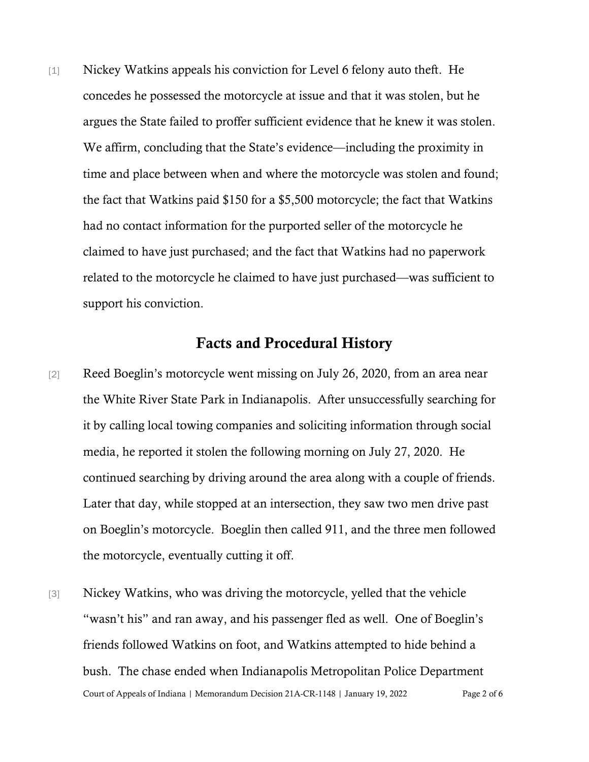[1] Nickey Watkins appeals his conviction for Level 6 felony auto theft. He concedes he possessed the motorcycle at issue and that it was stolen, but he argues the State failed to proffer sufficient evidence that he knew it was stolen. We affirm, concluding that the State's evidence—including the proximity in time and place between when and where the motorcycle was stolen and found; the fact that Watkins paid \$150 for a \$5,500 motorcycle; the fact that Watkins had no contact information for the purported seller of the motorcycle he claimed to have just purchased; and the fact that Watkins had no paperwork related to the motorcycle he claimed to have just purchased—was sufficient to support his conviction.

### Facts and Procedural History

- [2] Reed Boeglin's motorcycle went missing on July 26, 2020, from an area near the White River State Park in Indianapolis. After unsuccessfully searching for it by calling local towing companies and soliciting information through social media, he reported it stolen the following morning on July 27, 2020. He continued searching by driving around the area along with a couple of friends. Later that day, while stopped at an intersection, they saw two men drive past on Boeglin's motorcycle. Boeglin then called 911, and the three men followed the motorcycle, eventually cutting it off.
- Court of Appeals of Indiana | Memorandum Decision 21A-CR-1148 | January 19, 2022 Page 2 of 6 [3] Nickey Watkins, who was driving the motorcycle, yelled that the vehicle "wasn't his" and ran away, and his passenger fled as well. One of Boeglin's friends followed Watkins on foot, and Watkins attempted to hide behind a bush. The chase ended when Indianapolis Metropolitan Police Department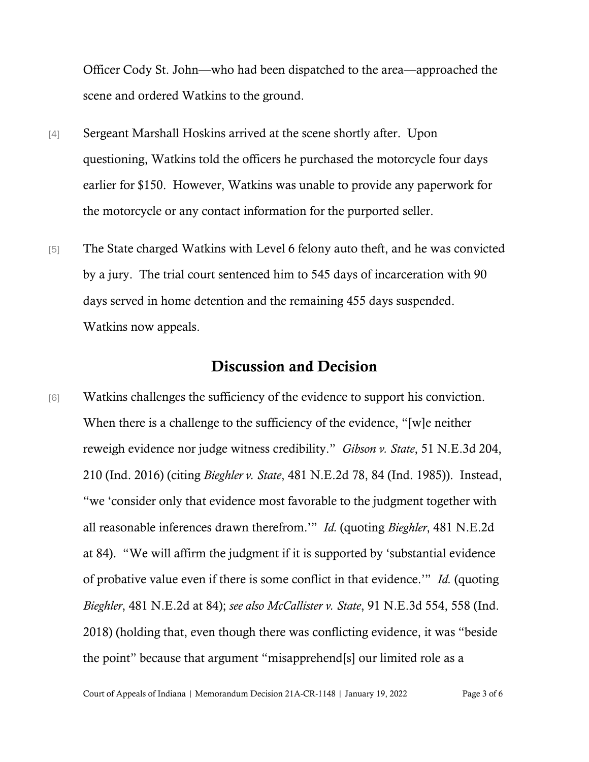Officer Cody St. John—who had been dispatched to the area—approached the scene and ordered Watkins to the ground.

- [4] Sergeant Marshall Hoskins arrived at the scene shortly after. Upon questioning, Watkins told the officers he purchased the motorcycle four days earlier for \$150. However, Watkins was unable to provide any paperwork for the motorcycle or any contact information for the purported seller.
- [5] The State charged Watkins with Level 6 felony auto theft, and he was convicted by a jury. The trial court sentenced him to 545 days of incarceration with 90 days served in home detention and the remaining 455 days suspended. Watkins now appeals.

## Discussion and Decision

[6] Watkins challenges the sufficiency of the evidence to support his conviction. When there is a challenge to the sufficiency of the evidence, "[w]e neither reweigh evidence nor judge witness credibility." *Gibson v. State*, 51 N.E.3d 204, 210 (Ind. 2016) (citing *Bieghler v. State*, 481 N.E.2d 78, 84 (Ind. 1985)). Instead, "we 'consider only that evidence most favorable to the judgment together with all reasonable inferences drawn therefrom.'" *Id.* (quoting *Bieghler*, 481 N.E.2d at 84). "We will affirm the judgment if it is supported by 'substantial evidence of probative value even if there is some conflict in that evidence.'" *Id.* (quoting *Bieghler*, 481 N.E.2d at 84); *see also McCallister v. State*, 91 N.E.3d 554, 558 (Ind. 2018) (holding that, even though there was conflicting evidence, it was "beside the point" because that argument "misapprehend[s] our limited role as a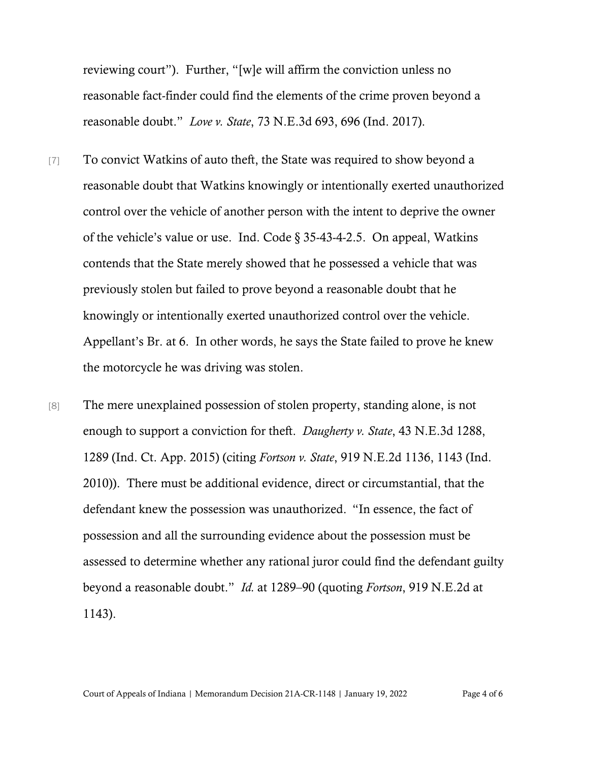reviewing court"). Further, "[w]e will affirm the conviction unless no reasonable fact-finder could find the elements of the crime proven beyond a reasonable doubt." *Love v. State*, 73 N.E.3d 693, 696 (Ind. 2017).

- [7] To convict Watkins of auto theft, the State was required to show beyond a reasonable doubt that Watkins knowingly or intentionally exerted unauthorized control over the vehicle of another person with the intent to deprive the owner of the vehicle's value or use. Ind. Code § 35-43-4-2.5. On appeal, Watkins contends that the State merely showed that he possessed a vehicle that was previously stolen but failed to prove beyond a reasonable doubt that he knowingly or intentionally exerted unauthorized control over the vehicle. Appellant's Br. at 6. In other words, he says the State failed to prove he knew the motorcycle he was driving was stolen.
- [8] The mere unexplained possession of stolen property, standing alone, is not enough to support a conviction for theft. *Daugherty v. State*, 43 N.E.3d 1288, 1289 (Ind. Ct. App. 2015) (citing *Fortson v. State*, 919 N.E.2d 1136, 1143 (Ind. 2010)). There must be additional evidence, direct or circumstantial, that the defendant knew the possession was unauthorized."In essence, the fact of possession and all the surrounding evidence about the possession must be assessed to determine whether any rational juror could find the defendant guilty beyond a reasonable doubt." *Id.* at 1289–90 (quoting *Fortson*, 919 N.E.2d at 1143).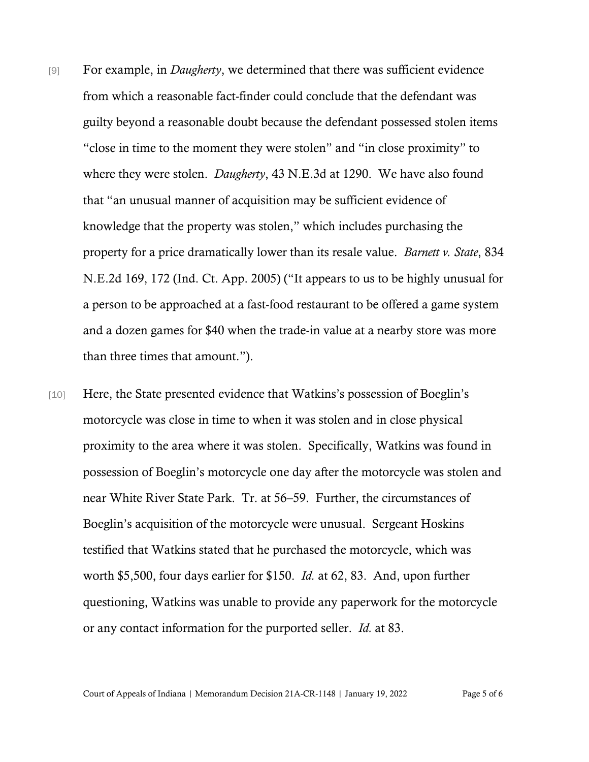- [9] For example, in *Daugherty*, we determined that there was sufficient evidence from which a reasonable fact-finder could conclude that the defendant was guilty beyond a reasonable doubt because the defendant possessed stolen items "close in time to the moment they were stolen" and "in close proximity" to where they were stolen. *Daugherty*, 43 N.E.3d at 1290. We have also found that "an unusual manner of acquisition may be sufficient evidence of knowledge that the property was stolen," which includes purchasing the property for a price dramatically lower than its resale value. *Barnett v. State*, 834 N.E.2d 169, 172 (Ind. Ct. App. 2005) ("It appears to us to be highly unusual for a person to be approached at a fast-food restaurant to be offered a game system and a dozen games for \$40 when the trade-in value at a nearby store was more than three times that amount.").
- [10] Here, the State presented evidence that Watkins's possession of Boeglin's motorcycle was close in time to when it was stolen and in close physical proximity to the area where it was stolen. Specifically, Watkins was found in possession of Boeglin's motorcycle one day after the motorcycle was stolen and near White River State Park. Tr. at 56–59. Further, the circumstances of Boeglin's acquisition of the motorcycle were unusual. Sergeant Hoskins testified that Watkins stated that he purchased the motorcycle, which was worth \$5,500, four days earlier for \$150. *Id.* at 62, 83. And, upon further questioning, Watkins was unable to provide any paperwork for the motorcycle or any contact information for the purported seller. *Id.* at 83.